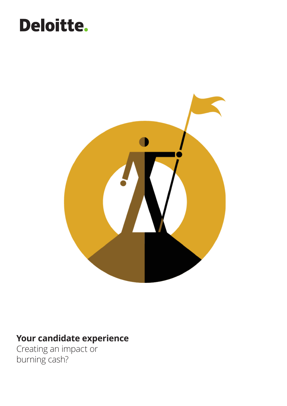### Deloitte.



### **Your candidate experience**

Creating an impact or burning cash?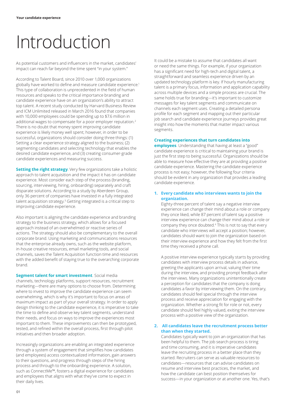# Introduction

As potential customers and influencers in the market, candidates' impact can reach far beyond the time spent "in your system."

According to Talent Board, since 2010 over 1,000 organizations globally have worked to define and measure candidate experience.1 This type of collaboration is unprecedented in the field of human resources and speaks to the critical importance branding and candidate experience have on an organization's ability to attract top talent. A recent study conducted by Harvard Business Review and ICM Unlimited released in March 2016 found that companies with 10,000 employees could be spending up to \$7.6 million in additional wages to compensate for a poor employer reputation.<sup>2</sup> There is no doubt that money spent improving candidate experience is likely money well spent; however, in order to be successful, organizations should consider doing three things: (1) Setting a clear experience strategy aligned to the business; (2) segmenting candidates and selecting technology that enables the desired candidate experience, and (3) creating consumer-grade candidate experiences and measuring success.

**Setting the right strategy**. Very few organizations take a holistic approach to talent acquisition and the impact it has on candidate experience. Most consider each step of the process (branding, sourcing, interviewing, hiring, onboarding) separately and craft disparate solutions. According to a study by Aberdeen Group, only 36 percent of companies have invested in a fully integrated talent acquisition strategy.<sup>3</sup> Getting integrated is a critical step to improving candidate experience.

Also important is aligning the candidate experience and branding strategy to the business strategy, which allows for a focused approach instead of an overwhelmed or reactive series of actions. The strategy should also be complementary to the overall corporate brand. Using marketing and communications resources that the enterprise already owns, such as the website platform, in-house creative resources, email marketing tools, and social channels, saves the Talent Acquisition function time and resources with the added benefit of staying true to the overarching corporate brand.

**Segment talent for smart investment**. Social media channels, technology platforms, support resources, recruitment marketing—there are many options to choose from. Determining where to invest to improve the candidate experience can seem overwhelming, which is why it's important to focus on areas of maximum impact as part of your overall strategy. In order to apply design thinking to the candidate experience, it is imperative to take the time to define and observe key talent segments, understand their needs, and focus on ways to improve the experiences most important to them. These improvements can then be prototyped, tested, and refined within the overall process, first through pilot initiatives and then broader adoption.

Increasingly organizations are enabling an integrated experience through a system of engagement that simplifies how candidates (and employees) access contextualized information, gain answers to their questions, and progress through steps of the hiring process and through to the onboarding experience. A solution, such as ConnectMe™, fosters a digital experience for candidates and employees that aligns with what they've come to expect in their daily lives.

It could be a mistake to assume that candidates all want or need the same things. For example, if your organization has a significant need for high-tech and digital talent, a straightforward and seamless experience driven by an updated technology platform is key. If hourly manufacturing talent is a primary focus, information and application capability across multiple devices and a simple process are crucial. The same holds true for branding—it's important to customize messages for key talent segments and communicate on channels each segment uses. Creating a detailed persona profile for each segment and mapping out their particular job search and candidate experience journeys provides great insight into how the moments that matter impact various segments.

#### **Creating experiences that turn candidates into**

**employees**. Understanding that having at least a "good" candidate experience is critical to maintaining your brand is just the first step to being successful. Organizations should be able to measure how effective they are at providing a positive candidate experience. Mastering the candidate experience process is not easy; however, the following four criteria should be evident in any organization that provides a leading candidate experience.

#### **1. Every candidate who interviews wants to join the organization.**

Eighty-three percent of talent say a negative interview experience can change their mind about a role or company they once liked, while 87 percent of talent say a positive interview experience can change their mind about a role or company they once doubted.4 This is not to say that every candidate who interviews will accept a position; however, candidates should want to join the organization based on their interview experience and how they felt from the first time they received a phone call.

A positive interview experience typically starts by providing candidates with interview process details in advance, greeting the applicants upon arrival, valuing their time during the interview, and providing prompt feedback after the interviews. Many organizations unintentionally create a perception for candidates that the company is doing candidates a favor by interviewing them. On the contrary, candidates should feel special through the interview process and receive appreciation for engaging with the organization. Whether a strong fit for role or not, every candidate should feel highly valued, exiting the interview process with a positive view of the organization.

#### **2. All candidates leave the recruitment process better than when they started.**

Candidates typically want to join an organization that has been helpful to them. The job search process is tiring and time consuming, and it is imperative candidates leave the recruiting process in a better place than they started. Recruiters can serve as valuable resources to candidates—resources that can advise candidates on resume and interview best practices, the market, and how the candidate can best position themselves for success—in your organization or at another one. Yes, that's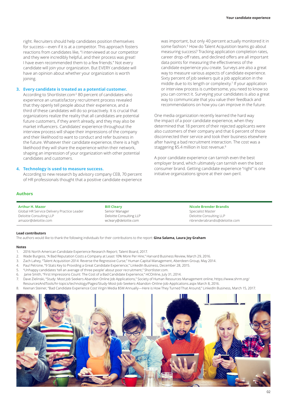right. Recruiters should help candidates position themselves for success—even if it is at a competitor. This approach fosters reactions from candidates like, "I interviewed at our competitor and they were incredibly helpful, and their process was great! I have even recommended them to a few friends." Not every candidate will join your organization. But EVERY candidate will have an opinion about whether your organization is worth joining.

#### **3. Every candidate is treated as a potential customer.**

According to Shortlister.com<sup>5</sup> 80 percent of candidates who experience an unsatisfactory recruitment process revealed that they openly tell people about their experience, and a third of these candidates will do so proactively. It is crucial that organizations realize the reality that all candidates are potential future customers, if they aren't already, and they may also be market influencers. Candidates' experience throughout the interview process will shape their impressions of the company and their likelihood to want to conduct and refer business in the future. Whatever their candidate experience, there is a high likelihood they will share the experience within their network, shaping an impression of your organization with other potential candidates and customers.

#### **4. Technology is used to measure success.**

According to new research by advisory company CEB, 70 percent of HR professionals thought that a positive candidate experience was important, but only 40 percent actually monitored it in some fashion.<sup>6</sup> How do Talent Acquisition teams go about measuring success? Tracking application completion rates, career drop-off rates, and declined offers are all important data points for measuring the effectiveness of the candidate experience you create. Surveys are also a great way to measure various aspects of candidate experience. Sixty percent of job seekers quit a job application in the middle due to its length or complexity.<sup>7</sup> If your application or interview process is cumbersome, you need to know so you can correct it. Surveying your candidates is also a great way to communicate that you value their feedback and recommendations on how you can improve in the future.

One media organization recently learned the hard way the impact of a poor candidate experience, when they determined that 18 percent of their rejected applicants were also customers of their company and that 6 percent of those disconnected their service and took their business elsewhere after having a bad recruitment interaction. The cost was a staggering \$5.4 million in lost revenue.8

A poor candidate experience can tarnish even the best employer brand, which ultimately can tarnish even the best consumer brand. Getting candidate experience "right" is one initiative organizations ignore at their own peril.

#### **Authors**

**Arthur H. Mazor** Global HR Service Delivery Practice Leader Deloitte Consulting LLP amazor@deloitte.com

**Bill Cleary** Senior Manager Deloitte Consulting LLP wcleary@deloitte.com

**Nicole Brender Brandis** Specialist Master Deloitte Consulting LLP nbrenderabrandis@deloitte.com

#### **Lead contributors**

The authors would like to thank the following individuals for their contributions to the report: **Gina Salama, Laura Joy Graham**

#### **Notes**

- 1. 2016 North American Candidate Experience Research Report; Talent Board, 2017.
- 2. Wade Burgess, "A Bad Reputation Costs a Company at Least 10% More Per Hire," Harvard Business Review, March 29, 2016.
- 3. Zach Lahey, "Talent Acquisition 2014: Reverse the Regressive Curse," Human Capital Management, Aberdeen Group, May 2014.
- 4. Paul Petrone, "9 Stats Key to Providing a Great Candidate Experience," LinkedIn Business, December 28, 2015.
- 5. "Unhappy candidates 'tell an average of three people' about poor recruitment," Shortlister.com.
- 6. Janie Smith, "First Impressions Count: The Cost of a Bad Candidate Experience," HCOnline, July 31, 2014.
- 7. Dave Zielinski, "Study: Most Job Seekers Abandon Online Job Applications," Society of Human Resources Management online, https://www.shrm.org/ ResourcesAndTools/hr-topics/technology/Pages/Study-Most-Job-Seekers-Abandon-Online-Job-Applications.aspx March 8, 2016.
- 8. Keenan Steiner, "Bad Candidate Experience Cost Virgin Media \$5M Annually—Here is How They Turned That Around," LinkedIn Business, March 15, 2017.